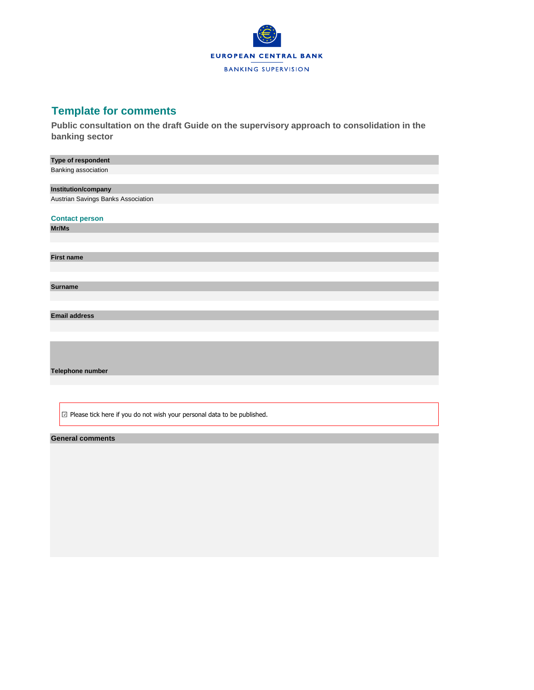

## **Template for comments**

**Public consultation on the draft Guide on the supervisory approach to consolidation in the banking sector**

| Type of respondent                                                                          |
|---------------------------------------------------------------------------------------------|
| Banking association                                                                         |
|                                                                                             |
| Institution/company                                                                         |
| Austrian Savings Banks Association                                                          |
|                                                                                             |
| <b>Contact person</b>                                                                       |
| Mr/Ms                                                                                       |
|                                                                                             |
|                                                                                             |
| <b>First name</b>                                                                           |
|                                                                                             |
|                                                                                             |
| <b>Surname</b>                                                                              |
|                                                                                             |
|                                                                                             |
| <b>Email address</b>                                                                        |
|                                                                                             |
|                                                                                             |
|                                                                                             |
|                                                                                             |
|                                                                                             |
| Telephone number                                                                            |
|                                                                                             |
|                                                                                             |
|                                                                                             |
| $\boxed{\triangle}$ Please tick here if you do not wish your personal data to be published. |

## **General comments**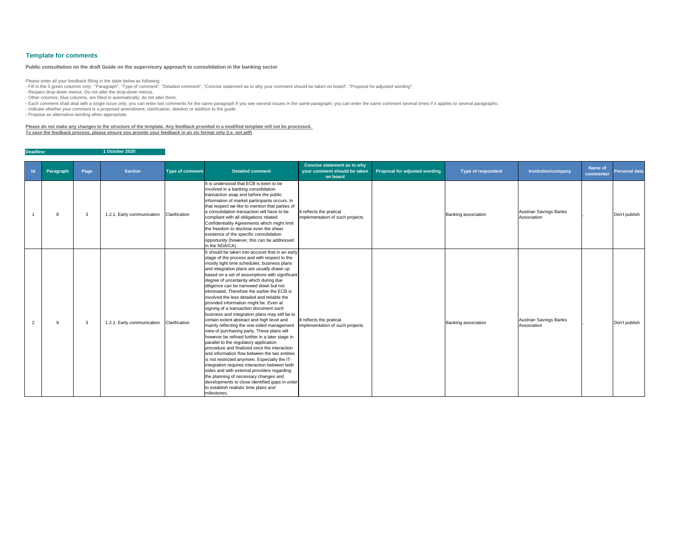| Id | Paragraph | Page | <b>Section</b>             | <b>Type of comment</b> | <b>Detailed comment</b>                                                                                                                                                                                                                                                                                                                                                                                                                                                                                                                                                                                                                                                                                                                                                                                                                                                                                                                                                                                                                                                                                                                                                                                             | <b>Concise statement as to why</b><br>your comment should be taken<br>on board | <b>Proposal for adjusted wording</b> | <b>Type of respondent</b> | <b>Institution/company</b>            | Name of<br>commenter | <b>Personal data</b> |
|----|-----------|------|----------------------------|------------------------|---------------------------------------------------------------------------------------------------------------------------------------------------------------------------------------------------------------------------------------------------------------------------------------------------------------------------------------------------------------------------------------------------------------------------------------------------------------------------------------------------------------------------------------------------------------------------------------------------------------------------------------------------------------------------------------------------------------------------------------------------------------------------------------------------------------------------------------------------------------------------------------------------------------------------------------------------------------------------------------------------------------------------------------------------------------------------------------------------------------------------------------------------------------------------------------------------------------------|--------------------------------------------------------------------------------|--------------------------------------|---------------------------|---------------------------------------|----------------------|----------------------|
|    | 8         | 3    | 1.2.1. Early communication | Clarification          | It is understood that ECB is keen to be<br>involved in a banking consolidation<br>transaction asap and before the public<br>information of market participants occurs. In<br>that respect we like to mention that parties of<br>a consolidation transaction will have to be<br>compliant with all obligations related<br>Confidentiality Agreements which might limit<br>the freedom to disclose even the sheer<br>existence of the specific consolidation<br>opportunity (however, this can be addressed<br>in the NDA/CA).                                                                                                                                                                                                                                                                                                                                                                                                                                                                                                                                                                                                                                                                                        | It reflects the pratical<br>implementation of such projects.                   |                                      | Banking association       | Austrian Savings Banks<br>Association |                      | Don't publish        |
|    | g         | 3    | 1.2.1. Early communication | Clarification          | It should be taken into account that in an early<br>stage of the process and with respect to the<br>mostly tight time schedules, business plans<br>and integration plans are usually drawn up<br>based on a set of assumptions with significant<br>degree of uncertainty which during due<br>diligence can be narrowed down but not<br>eliminated. Therefore the earlier the ECB is<br>involved the less detailed and reliable the<br>provided information might be. Even at<br>signing of a transaction document such<br>business and integration plans may still be to<br>certain extent abstract and high level and<br>mainly reflecting the one-sided management<br>view of purchasing party. These plans will<br>however be refined further in a later stage in<br>parallel to the regulatory application<br>procedure and finalized once the interaction<br>and information flow between the two entities<br>is not restricted anymore. Especially the IT-<br>integration requires interaction between both<br>sides and with external providers regarding<br>the planning of necessary changes and<br>developments to close identified gaps in order<br>to establish realistic time plans and<br>milestones. | It reflects the pratical<br>implementation of such projects.                   |                                      | Banking association       | Austrian Savings Banks<br>Association |                      | Don't publish        |

- Fill in the 5 green columns only: "Paragraph", "Type of comment", "Detailed comment", "Concise statement as to why your comment should be taken on board", "Proposal for adjusted wording"; - Respect drop-down menus. Do not alter the drop-down menus.

**Deadline: 1 October 2020**

## **Template for comments**

Please enter all your feedback filling in the table below as following :

- Other columns, blue columns, are filled in automatically; do not alter them;

- Each comment shall deal with a single issue only; you can enter two comments for the same paragraph if you see several issues in the same paragraph; you can enter the same comment several times if it applies to several p

- Indicate whether your comment is a proposed amendment, clarification, deletion or addition to the guide;

- Propose an alternative wording when appropriate.

**Please do not make any changes to the structure of the template. Any feedback provided in a modified template will not be processed. To ease the feedback process, please ensure you provide your feedback in an xls format only (i.e. not pdf)**

## **Public consultation on the draft Guide on the supervisory approach to consolidation in the banking sector**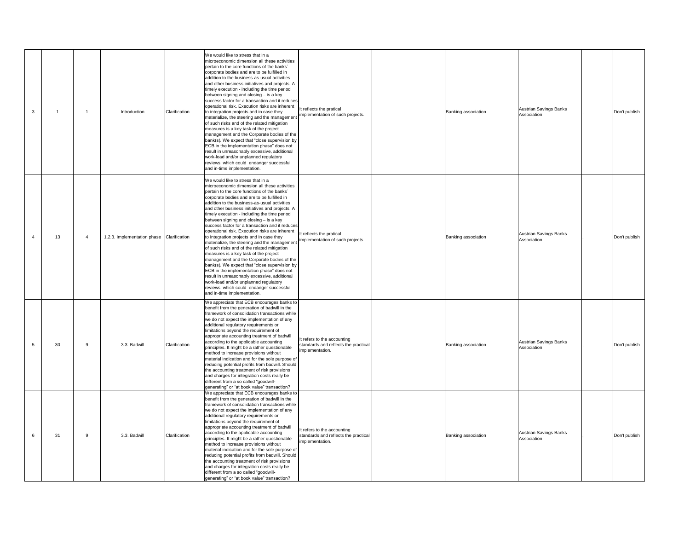| 3 |    |   | Introduction                | Clarification | We would like to stress that in a<br>microeconomic dimension all these activities<br>pertain to the core functions of the banks'<br>corporate bodies and are to be fulfilled in<br>addition to the business-as-usual activities<br>and other business initiatives and projects. A<br>timely execution - including the time period<br>between signing and closing - is a key<br>success factor for a transaction and it reduces<br>operational risk. Execution risks are inherent<br>to integration projects and in case they<br>materialize, the steering and the management<br>of such risks and of the related mitigation<br>measures is a key task of the project<br>management and the Corporate bodies of the<br>bank(s). We expect that "close supervision by<br>ECB in the implementation phase" does not<br>result in unreasonably excessive, additional<br>work-load and/or unplanned regulatory<br>reviews, which could endanger successful<br>and in-time implementation. | It reflects the pratical<br>implementation of such projects.                           | <b>Banking association</b> |
|---|----|---|-----------------------------|---------------|--------------------------------------------------------------------------------------------------------------------------------------------------------------------------------------------------------------------------------------------------------------------------------------------------------------------------------------------------------------------------------------------------------------------------------------------------------------------------------------------------------------------------------------------------------------------------------------------------------------------------------------------------------------------------------------------------------------------------------------------------------------------------------------------------------------------------------------------------------------------------------------------------------------------------------------------------------------------------------------|----------------------------------------------------------------------------------------|----------------------------|
| 4 | 13 | 4 | 1.2.3. Implementation phase | Clarification | We would like to stress that in a<br>microeconomic dimension all these activities<br>pertain to the core functions of the banks'<br>corporate bodies and are to be fulfilled in<br>addition to the business-as-usual activities<br>and other business initiatives and projects. A<br>timely execution - including the time period<br>between signing and closing - is a key<br>success factor for a transaction and it reduces<br>operational risk. Execution risks are inherent<br>to integration projects and in case they<br>materialize, the steering and the management<br>of such risks and of the related mitigation<br>measures is a key task of the project<br>management and the Corporate bodies of the<br>bank(s). We expect that "close supervision by<br>ECB in the implementation phase" does not<br>result in unreasonably excessive, additional<br>work-load and/or unplanned regulatory<br>reviews, which could endanger successful<br>and in-time implementation. | It reflects the pratical<br>implementation of such projects.                           | <b>Banking association</b> |
| 5 | 30 | 9 | 3.3. Badwill                | Clarification | We appreciate that ECB encourages banks to<br>benefit from the generation of badwill in the<br>framework of consolidation transactions while<br>we do not expect the implementation of any<br>additional regulatory requirements or<br>limitations beyond the requirement of<br>appropriate accounting treatment of badwill<br>according to the applicable accounting<br>principles. It might be a rather questionable<br>method to increase provisions without<br>material indication and for the sole purpose of<br>reducing potential profits from badwill. Should<br>the accounting treatment of risk provisions<br>and charges for integration costs really be<br>different from a so called "goodwill-<br>generating" or "at book value" transaction?                                                                                                                                                                                                                          | It refers to the accounting<br>standards and reflects the practical<br>implementation. | <b>Banking association</b> |
| 6 | 31 | 9 | 3.3. Badwill                | Clarification | We appreciate that ECB encourages banks to<br>benefit from the generation of badwill in the<br>framework of consolidation transactions while<br>we do not expect the implementation of any<br>additional regulatory requirements or<br>limitations beyond the requirement of<br>appropriate accounting treatment of badwill<br>according to the applicable accounting<br>principles. It might be a rather questionable<br>method to increase provisions without<br>material indication and for the sole purpose of<br>reducing potential profits from badwill. Should<br>the accounting treatment of risk provisions<br>and charges for integration costs really be<br>different from a so called "goodwill-<br>generating" or "at book value" transaction?                                                                                                                                                                                                                          | It refers to the accounting<br>standards and reflects the practical<br>implementation. | <b>Banking association</b> |

| Banking association | Austrian Savings Banks<br>Association |   | Don't publish |
|---------------------|---------------------------------------|---|---------------|
| Banking association | Austrian Savings Banks<br>Association |   | Don't publish |
| Banking association | Austrian Savings Banks<br>Association | , | Don't publish |
| Banking association | Austrian Savings Banks<br>Association |   | Don't publish |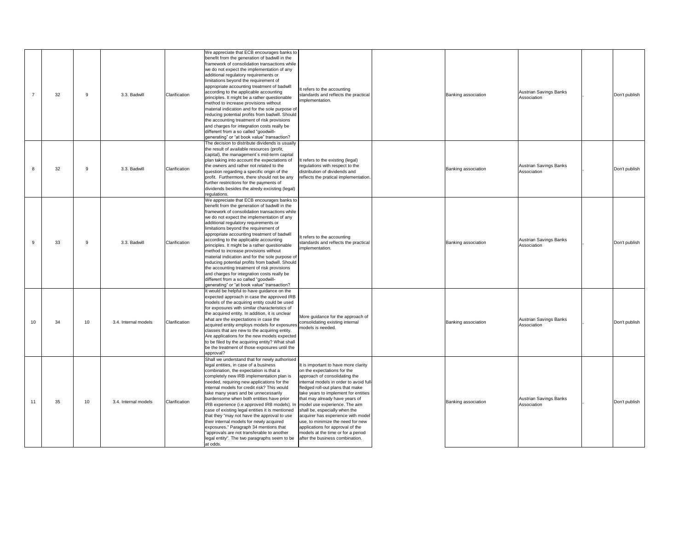|    | 32 | 9  | 3.3. Badwill         | Clarification | We appreciate that ECB encourages banks to<br>benefit from the generation of badwill in the<br>framework of consolidation transactions while<br>we do not expect the implementation of any<br>additional regulatory requirements or<br>limitations beyond the requirement of<br>appropriate accounting treatment of badwill<br>according to the applicable accounting<br>principles. It might be a rather questionable<br>method to increase provisions without<br>material indication and for the sole purpose of<br>reducing potential profits from badwill. Should<br>the accounting treatment of risk provisions<br>and charges for integration costs really be<br>different from a so called "goodwill-<br>generating" or "at book value" transaction? | It refers to the accounting<br>standards and reflects the practical<br>implementation.                                                                                                                                                                                                                                                                                                                                                                                                                                 |  |
|----|----|----|----------------------|---------------|-------------------------------------------------------------------------------------------------------------------------------------------------------------------------------------------------------------------------------------------------------------------------------------------------------------------------------------------------------------------------------------------------------------------------------------------------------------------------------------------------------------------------------------------------------------------------------------------------------------------------------------------------------------------------------------------------------------------------------------------------------------|------------------------------------------------------------------------------------------------------------------------------------------------------------------------------------------------------------------------------------------------------------------------------------------------------------------------------------------------------------------------------------------------------------------------------------------------------------------------------------------------------------------------|--|
| 8  | 32 | 9  | 3.3. Badwill         | Clarification | The decision to distribute dividends is usually<br>the result of available resources (profit,<br>capital), the management's mid-term capital<br>plan taking into account the expectations of<br>the owners and rather not related to the<br>question regarding a specific origin of the<br>profit. Furthermore, there should not be any<br>further restrictions for the payments of<br>dividends besides the alredy excisting (legal)<br>regulations.                                                                                                                                                                                                                                                                                                       | It refers to the existing (legal)<br>regulations with respect to the<br>distribution of dividends and<br>reflects the pratical implementation.                                                                                                                                                                                                                                                                                                                                                                         |  |
| 9  | 33 | 9  | 3.3. Badwill         | Clarification | We appreciate that ECB encourages banks to<br>benefit from the generation of badwill in the<br>framework of consolidation transactions while<br>we do not expect the implementation of any<br>additional regulatory requirements or<br>limitations beyond the requirement of<br>appropriate accounting treatment of badwill<br>according to the applicable accounting<br>principles. It might be a rather questionable<br>method to increase provisions without<br>material indication and for the sole purpose of<br>reducing potential profits from badwill. Should<br>the accounting treatment of risk provisions<br>and charges for integration costs really be<br>different from a so called "goodwill-<br>generating" or "at book value" transaction? | It refers to the accounting<br>standards and reflects the practical<br>implementation.                                                                                                                                                                                                                                                                                                                                                                                                                                 |  |
| 10 | 34 | 10 | 3.4. Internal models | Clarification | It would be helpful to have guidance on the<br>expected approach in case the approved IRB<br>models of the acquiring entity could be used<br>for exposures with similar characteristics of<br>the acquired entity. In addition, it is unclear<br>what are the expectations in case the<br>acquired entity employs models for exposures<br>classes that are new to the acquiring entity.<br>Are applications for the new models expected<br>to be filed by the acquiring entity? What shall<br>be the treatment of those exposures until the<br>approval?                                                                                                                                                                                                    | More guidance for the approach of<br>consolidating existing internal<br>models is needed.                                                                                                                                                                                                                                                                                                                                                                                                                              |  |
| 11 | 35 | 10 | 3.4. Internal models | Clarification | Shall we understand that for newly authorised<br>legal entities, in case of a business<br>combination, the expectation is that a<br>completely new IRB implementation plan is<br>needed, requiring new applications for the<br>internal models for credit risk? This would<br>take many years and be unnecessarily<br>burdensome when both entities have prior<br>IRB experience (i.e approved IRB models). In<br>case of existing legal entities it is mentioned<br>that they "may not have the approval to use<br>their internal models for newly acquired<br>exposures." Paragraph 34 mentions that<br>"approvals are not transferable to another<br>legal entity". The two paragraphs seem to be<br>at odds.                                            | It is important to have more clarity<br>on the expectations for the<br>approach of consolidating the<br>internal models in order to avoid full<br>fledged roll-out plans that make<br>take years to implement for entities<br>that may already have years of<br>model use experience. The aim<br>shall be, especially when the<br>acquirer has experience with model<br>use, to minimize the need for new<br>applications for approval of the<br>models at the time or for a period<br>after the business combination. |  |

| Banking association | Austrian Savings Banks<br>Association | Don't publish |
|---------------------|---------------------------------------|---------------|
| Banking association | Austrian Savings Banks<br>Association | Don't publish |
| Banking association | Austrian Savings Banks<br>Association | Don't publish |
| Banking association | Austrian Savings Banks<br>Association | Don't publish |
| Banking association | Austrian Savings Banks<br>Association | Don't publish |